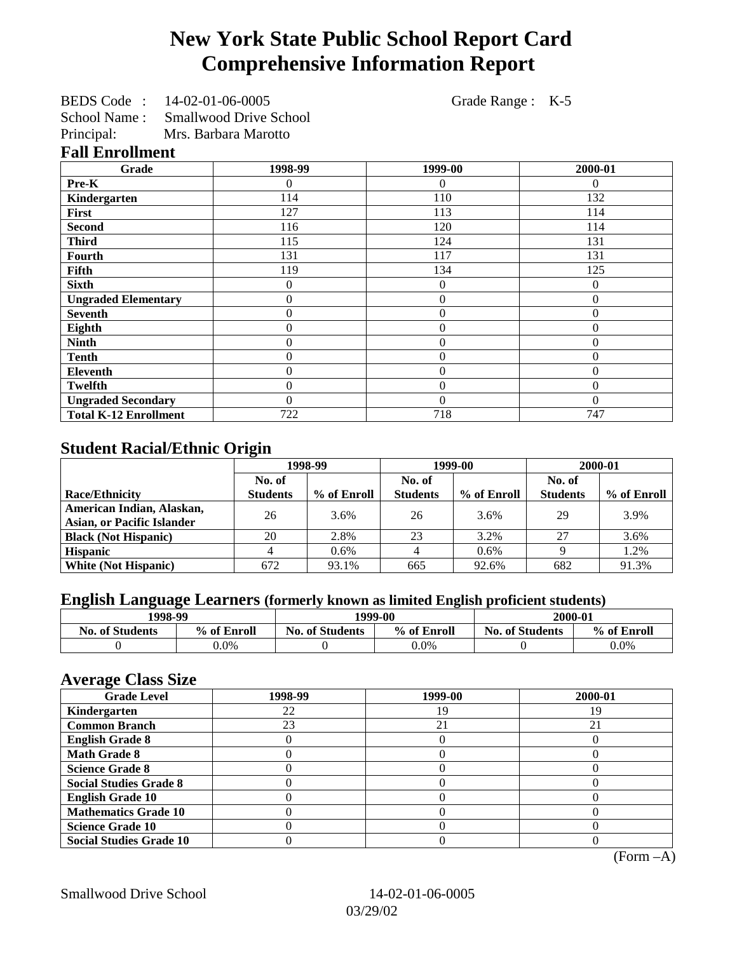# **New York State Public School Report Card Comprehensive Information Report**

| BEDS Code:    | 14-02-01-06-0005              |
|---------------|-------------------------------|
| School Name : | <b>Smallwood Drive School</b> |

Grade Range : K-5

Principal: Mrs. Barbara Marotto **Fall Enrollment**

| Grade                        | 1998-99          | 1999-00        | 2000-01      |
|------------------------------|------------------|----------------|--------------|
| Pre-K                        | 0                | $\Omega$       | $\Omega$     |
| Kindergarten                 | 114              | 110            | 132          |
| <b>First</b>                 | 127              | 113            | 114          |
| <b>Second</b>                | 116              | 120            | 114          |
| <b>Third</b>                 | 115              | 124            | 131          |
| Fourth                       | 131              | 117            | 131          |
| Fifth                        | 119              | 134            | 125          |
| <b>Sixth</b>                 | 0                | $\overline{0}$ | $\Omega$     |
| <b>Ungraded Elementary</b>   | 0                | $\overline{0}$ | $\mathbf{0}$ |
| <b>Seventh</b>               | $\overline{0}$   | $\overline{0}$ | $\mathbf{0}$ |
| Eighth                       | 0                | $\overline{0}$ | $\mathbf{0}$ |
| <b>Ninth</b>                 | 0                | $\theta$       | $\Omega$     |
| <b>Tenth</b>                 | 0                | $\overline{0}$ | $\Omega$     |
| Eleventh                     | $\boldsymbol{0}$ | $\mathbf{0}$   | $\theta$     |
| <b>Twelfth</b>               | 0                | $\theta$       | $\Omega$     |
| <b>Ungraded Secondary</b>    | 0                | $\theta$       | $\Omega$     |
| <b>Total K-12 Enrollment</b> | 722              | 718            | 747          |

## **Student Racial/Ethnic Origin**

|                                   | 1998-99         |             | 1999-00         |             | 2000-01         |             |
|-----------------------------------|-----------------|-------------|-----------------|-------------|-----------------|-------------|
|                                   | No. of          |             | No. of          |             | No. of          |             |
| <b>Race/Ethnicity</b>             | <b>Students</b> | % of Enroll | <b>Students</b> | % of Enroll | <b>Students</b> | % of Enroll |
| American Indian, Alaskan,         | 26              | 3.6%        | 26              | 3.6%        | 29              | 3.9%        |
| <b>Asian, or Pacific Islander</b> |                 |             |                 |             |                 |             |
| <b>Black (Not Hispanic)</b>       | 20              | 2.8%        | 23              | 3.2%        | 27              | 3.6%        |
| <b>Hispanic</b>                   |                 | 0.6%        |                 | 0.6%        |                 | 1.2%        |
| <b>White (Not Hispanic)</b>       | 672             | 93.1%       | 665             | 92.6%       | 682             | 91.3%       |

# **English Language Learners (formerly known as limited English proficient students)**

|                        | 1998-99     |                        | 1999-00     |                        | 2000-01     |
|------------------------|-------------|------------------------|-------------|------------------------|-------------|
| <b>No. of Students</b> | % of Enroll | <b>No. of Students</b> | % of Enroll | <b>No. of Students</b> | % of Enroll |
|                        | $0.0\%$     |                        | $0.0\%$     |                        | $0.0\%$     |

## **Average Class Size**

| $-7$<br><b>Grade Level</b>     | 1998-99 | 1999-00 | 2000-01 |
|--------------------------------|---------|---------|---------|
| Kindergarten                   | 22      | 19      | 19      |
| <b>Common Branch</b>           | 23      | 21      |         |
| <b>English Grade 8</b>         |         |         |         |
| <b>Math Grade 8</b>            |         |         |         |
| <b>Science Grade 8</b>         |         |         |         |
| <b>Social Studies Grade 8</b>  |         |         |         |
| <b>English Grade 10</b>        |         |         |         |
| <b>Mathematics Grade 10</b>    |         |         |         |
| <b>Science Grade 10</b>        |         |         |         |
| <b>Social Studies Grade 10</b> |         |         |         |

(Form –A)